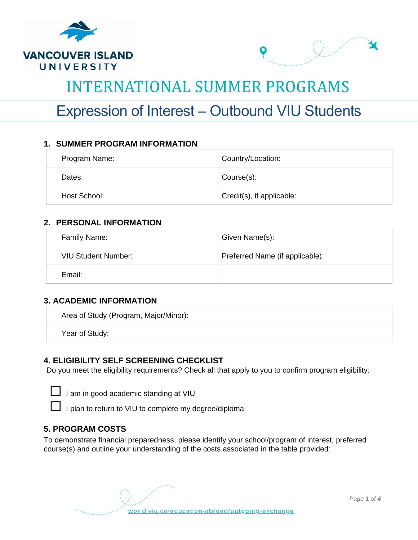



# **INTERNATIONAL SUMMER PROGRAMS**

## Expression of Interest – Outbound VIU Students

### **1. SUMMER PROGRAM INFORMATION**

| Program Name: | Country/Location:         |
|---------------|---------------------------|
| Dates:        | Course(s):                |
| Host School:  | Credit(s), if applicable: |

### **2. PERSONAL INFORMATION**

| Family Name:               | Given Name(s):                  |
|----------------------------|---------------------------------|
| <b>VIU Student Number:</b> | Preferred Name (if applicable): |
| Email:                     |                                 |

#### **3. ACADEMIC INFORMATION**

Area of Study (Program, Major/Minor):

Year of Study:

### **4. ELIGIBILITY SELF SCREENING CHECKLIST**

Do you meet the eligibility requirements? Check all that apply to you to confirm program eligibility:

I am in good academic standing at VIU

 $\Box$  I plan to return to VIU to complete my degree/diploma

### **5. PROGRAM COSTS**

To demonstrate financial preparedness, please identify your school/program of interest, preferred course(s) and outline your understanding of the costs associated in the table provided: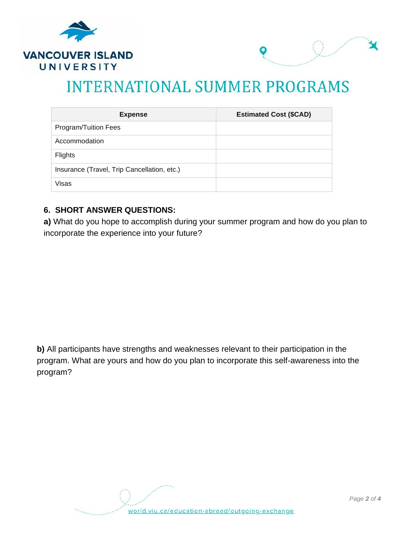



## **INTERNATIONAL SUMMER PROGRAMS**

| <b>Expense</b>                              | <b>Estimated Cost (\$CAD)</b> |
|---------------------------------------------|-------------------------------|
| <b>Program/Tuition Fees</b>                 |                               |
| Accommodation                               |                               |
| Flights                                     |                               |
| Insurance (Travel, Trip Cancellation, etc.) |                               |
| Visas                                       |                               |

### **6. SHORT ANSWER QUESTIONS:**

**a)** What do you hope to accomplish during your summer program and how do you plan to incorporate the experience into your future?

**b)** All participants have strengths and weaknesses relevant to their participation in the program. What are yours and how do you plan to incorporate this self-awareness into the program?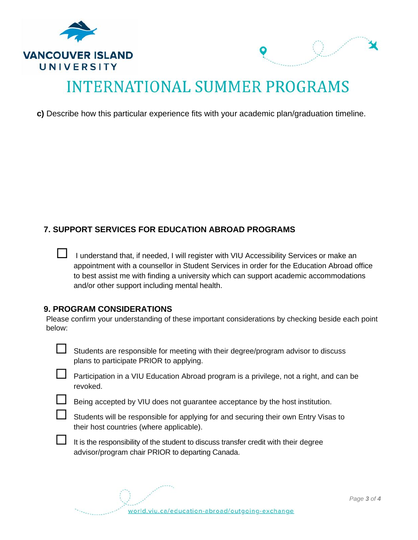



# **INTERNATIONAL SUMMER PROGRAMS**

**c)** Describe how this particular experience fits with your academic plan/graduation timeline.

### **7. SUPPORT SERVICES FOR EDUCATION ABROAD PROGRAMS**

| ப | I understand that, if needed, I will register with VIU Accessibility Services or make an   |
|---|--------------------------------------------------------------------------------------------|
|   | appointment with a counsellor in Student Services in order for the Education Abroad office |
|   | to best assist me with finding a university which can support academic accommodations      |
|   | and/or other support including mental health.                                              |

#### **9. PROGRAM CONSIDERATIONS**

Please confirm your understanding of these important considerations by checking beside each point below:

| Students are responsible for meeting with their degree/program advisor to discuss |
|-----------------------------------------------------------------------------------|
| plans to participate PRIOR to applying.                                           |

**Participation in a VIU Education Abroad program is a privilege, not a right, and can be** revoked.

 $\Box$  Being accepted by VIU does not guarantee acceptance by the host institution.



Students will be responsible for applying for and securing their own Entry Visas to their host countries (where applicable).

 It is the responsibility of the student to discuss transfer credit with their degree advisor/program chair PRIOR to departing Canada.